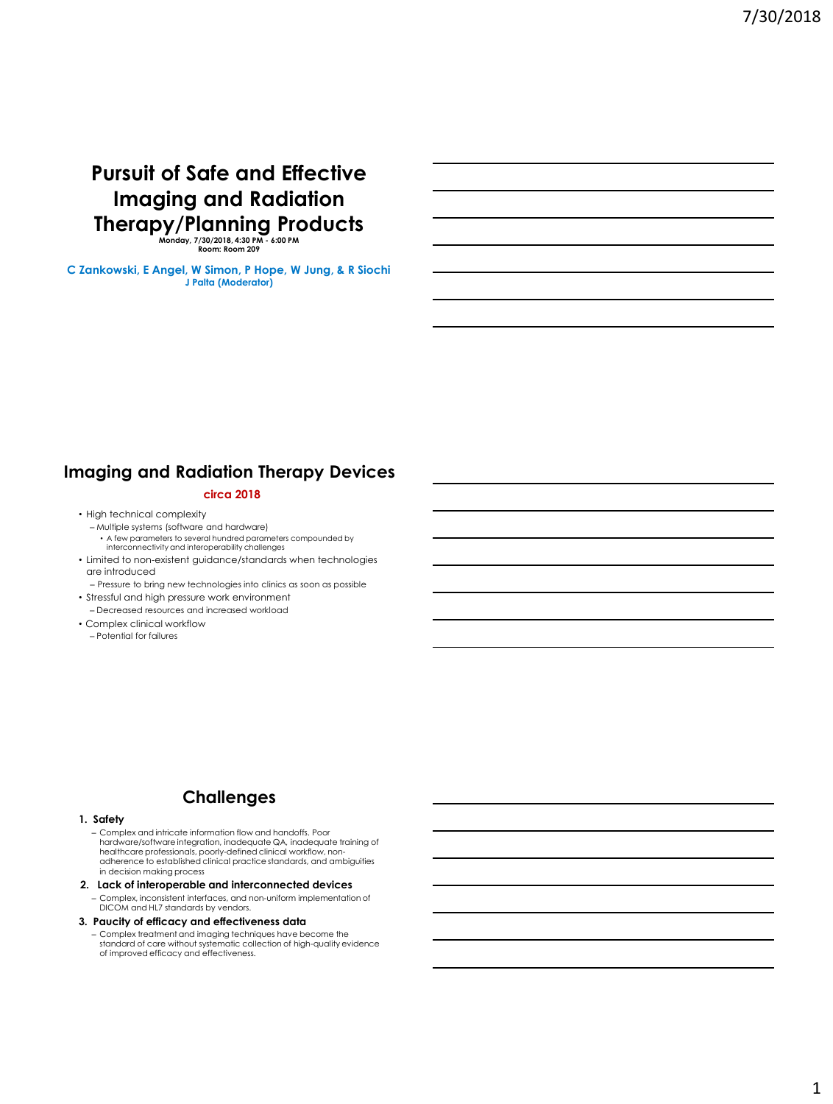# **Pursuit of Safe and Effective Imaging and Radiation Therapy/Planning Products**

**Monday, 7/30/2018, 4:30 PM - 6:00 PM Room: Room 209**

**C Zankowski, E Angel, W Simon, P Hope, W Jung, & R Siochi J Palta (Moderator)**

# **Imaging and Radiation Therapy Devices**

### **circa 2018**

- High technical complexity
	- Multiple systems (software and hardware) • A few parameters to several hundred parameters compounded by interconnectivity and interoperability challenges
- Limited to non-existent guidance/standards when technologies are introduced
- Pressure to bring new technologies into clinics as soon as possible • Stressful and high pressure work environment
- Decreased resources and increased workload • Complex clinical workflow
- Potential for failures

## **Challenges**

#### **1. Safety**

- Complex and intricate information flow and handoffs. Poor hardware/software integration, inadequate QA, inadequate training of healthcare professionals, poorly-defined clinical workflow, non-adherence to established clinical practice standards, and ambiguities in decision making process
- **2. Lack of interoperable and interconnected devices**
- Complex, inconsistent interfaces, and non-uniform implementation of DICOM and HL7 standards by vendors.

### **3. Paucity of efficacy and effectiveness data**

– Complex treatment and imaging techniques have become the standard of care without systematic collection of high-quality evidence of improved efficacy and effectiveness.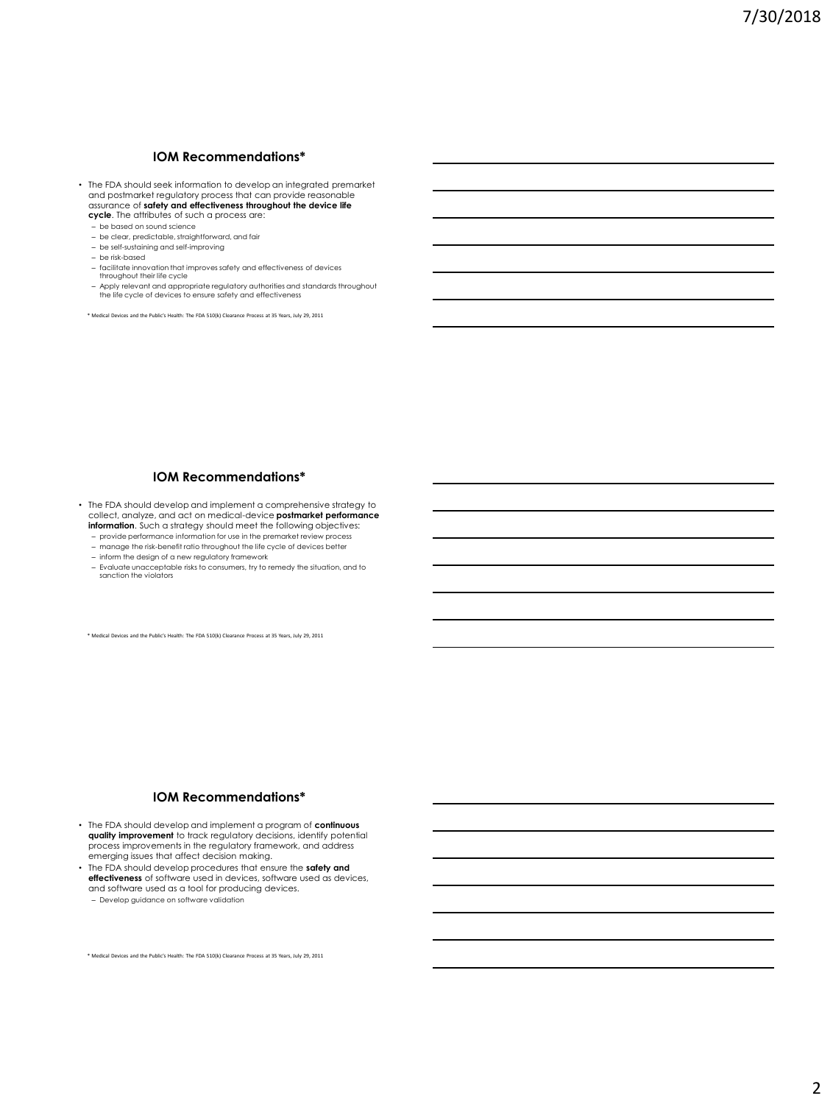## **IOM Recommendations\***

- The FDA should seek information to develop an integrated premarket and postmarket regulatory process that can provide reasonable assurance of **safety and effectiveness throughout the device life cycle**. The attributes of such a process are:
	- be based on sound science
	- be clear, predictable, straightforward, and fair
	- be self-sustaining and self-improving
	- be risk-based
	- facilitate innovation that improves safety and effectiveness of devices throughout their life cycle
	- Apply relevant and appropriate regulatory authorities and standards throughout the life cycle of devices to ensure safety and effectiveness

\* Medical Devices and the Public's Health: The FDA 510(k) Clearance Process at 35 Years, July 29, 2011

#### **IOM Recommendations\***

- The FDA should develop and implement a comprehensive strategy to collect, analyze, and act on medical-device **postmarket performance information**. Such a strategy should meet the following objectives:
	- provide performance information for use in the premarket review process
	- manage the risk-benefit ratio throughout the life cycle of devices better – inform the design of a new regulatory framework
	- Evaluate unacceptable risks to consumers, try to remedy the situation, and to sanction the violators

\* Medical Devices and the Public's Health: The FDA 510(k) Clearance Process at 35 Years, July 29, 2011

#### **IOM Recommendations\***

- The FDA should develop and implement a program of **continuous quality improvement** to track regulatory decisions, identify potential process improvements in the regulatory framework, and address emerging issues that affect decision making.
- The FDA should develop procedures that ensure the **safety and effectiveness** of software used in devices, software used as devices, and software used as a tool for producing devices.

– Develop guidance on software validation

\* Medical Devices and the Public's Health: The FDA 510(k) Clearance Process at 35 Years, July 29, 2011